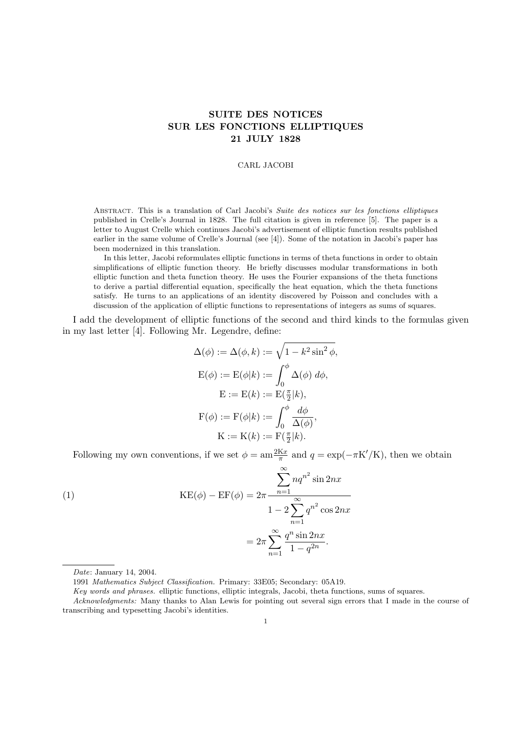# SUITE DES NOTICES SUR LES FONCTIONS ELLIPTIQUES 21 JULY 1828

### CARL JACOBI

Abstract. This is a translation of Carl Jacobi's Suite des notices sur les fonctions elliptiques published in Crelle's Journal in 1828. The full citation is given in reference [5]. The paper is a letter to August Crelle which continues Jacobi's advertisement of elliptic function results published earlier in the same volume of Crelle's Journal (see [4]). Some of the notation in Jacobi's paper has been modernized in this translation.

In this letter, Jacobi reformulates elliptic functions in terms of theta functions in order to obtain simplifications of elliptic function theory. He briefly discusses modular transformations in both elliptic function and theta function theory. He uses the Fourier expansions of the theta functions to derive a partial differential equation, specifically the heat equation, which the theta functions satisfy. He turns to an applications of an identity discovered by Poisson and concludes with a discussion of the application of elliptic functions to representations of integers as sums of squares.

I add the development of elliptic functions of the second and third kinds to the formulas given in my last letter [4]. Following Mr. Legendre, define:

$$
\Delta(\phi) := \Delta(\phi, k) := \sqrt{1 - k^2 \sin^2 \phi},
$$
  
\n
$$
E(\phi) := E(\phi|k) := \int_0^{\phi} \Delta(\phi) d\phi,
$$
  
\n
$$
E := E(k) := E(\frac{\pi}{2}|k),
$$
  
\n
$$
F(\phi) := F(\phi|k) := \int_0^{\phi} \frac{d\phi}{\Delta(\phi)},
$$
  
\n
$$
K := K(k) := F(\frac{\pi}{2}|k).
$$

Following my own conventions, if we set  $\phi = \text{am} \frac{2Kx}{\pi}$  and  $q = \exp(-\pi K'/K)$ , then we obtain

(1)  
\n
$$
KE(\phi) - EF(\phi) = 2\pi \frac{\sum_{n=1}^{\infty} nq^{n^2} \sin 2nx}{1 - 2\sum_{n=1}^{\infty} q^{n^2} \cos 2nx}
$$
\n
$$
= 2\pi \sum_{n=1}^{\infty} \frac{q^n \sin 2nx}{1 - q^{2n}}.
$$

Key words and phrases. elliptic functions, elliptic integrals, Jacobi, theta functions, sums of squares.

Date: January 14, 2004.

<sup>1991</sup> Mathematics Subject Classification. Primary: 33E05; Secondary: 05A19.

Acknowledgments: Many thanks to Alan Lewis for pointing out several sign errors that I made in the course of transcribing and typesetting Jacobi's identities.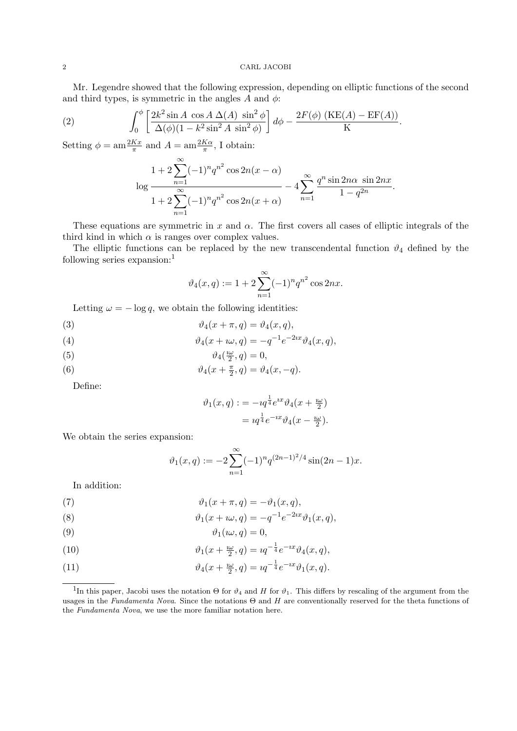### 2 CARL JACOBI

Mr. Legendre showed that the following expression, depending on elliptic functions of the second and third types, is symmetric in the angles A and  $\phi$ :

(2) 
$$
\int_0^{\phi} \left[ \frac{2k^2 \sin A \cos A \Delta(A) \sin^2 \phi}{\Delta(\phi)(1 - k^2 \sin^2 A \sin^2 \phi)} \right] d\phi - \frac{2F(\phi) (KE(A) - EF(A))}{K}.
$$

Setting  $\phi = \text{am}\frac{2Kx}{\pi}$  and  $A = \text{am}\frac{2K\alpha}{\pi}$ , I obtain:

$$
\log \frac{1 + 2\sum_{n=1}^{\infty} (-1)^n q^{n^2} \cos 2n(x - \alpha)}{1 + 2\sum_{n=1}^{\infty} (-1)^n q^{n^2} \cos 2n(x + \alpha)} - 4\sum_{n=1}^{\infty} \frac{q^n \sin 2n\alpha \sin 2nx}{1 - q^{2n}}.
$$

These equations are symmetric in x and  $\alpha$ . The first covers all cases of elliptic integrals of the third kind in which  $\alpha$  is ranges over complex values.

The elliptic functions can be replaced by the new transcendental function  $\vartheta_4$  defined by the following series expansion:<sup>1</sup>

$$
\vartheta_4(x,q) := 1 + 2 \sum_{n=1}^{\infty} (-1)^n q^{n^2} \cos 2nx.
$$

Letting  $\omega = -\log q$ , we obtain the following identities:

(3) 
$$
\vartheta_4(x+\pi,q) = \vartheta_4(x,q),
$$

(4) 
$$
\vartheta_4(x + \iota \omega, q) = -q^{-1} e^{-2ix} \vartheta_4(x, q),
$$

(5) 
$$
\vartheta_4(\tfrac{i\omega}{2},q) = 0,
$$

(6) 
$$
\vartheta_4(x+\tfrac{\pi}{2},q)=\vartheta_4(x,-q).
$$

Define:

$$
\vartheta_1(x,q) := -\imath q^{\frac{1}{4}} e^{\imath x} \vartheta_4(x + \frac{\imath \omega}{2})
$$

$$
= \imath q^{\frac{1}{4}} e^{-\imath x} \vartheta_4(x - \frac{\imath \omega}{2}).
$$

We obtain the series expansion:

$$
\vartheta_1(x,q) := -2 \sum_{n=1}^{\infty} (-1)^n q^{(2n-1)^2/4} \sin(2n-1)x.
$$

In addition:

(7) 
$$
\vartheta_1(x+\pi,q) = -\vartheta_1(x,q),
$$

(8) 
$$
\vartheta_1(x + \iota \omega, q) = -q^{-1} e^{-2ix} \vartheta_1(x, q),
$$

ϑ1(ıω, q) = 0,(9)

(10) 
$$
\vartheta_1(x + \frac{i\omega}{2}, q) = iq^{-\frac{1}{4}}e^{-ix}\vartheta_4(x, q),
$$

(11) 
$$
\vartheta_4(x + \frac{2\omega}{2}, q) = iq^{-\frac{1}{4}}e^{-ix}\vartheta_1(x, q).
$$

<sup>&</sup>lt;sup>1</sup>In this paper, Jacobi uses the notation  $\Theta$  for  $\vartheta_4$  and H for  $\vartheta_1$ . This differs by rescaling of the argument from the usages in the Fundamenta Nova. Since the notations  $\Theta$  and H are conventionally reserved for the theta functions of the Fundamenta Nova, we use the more familiar notation here.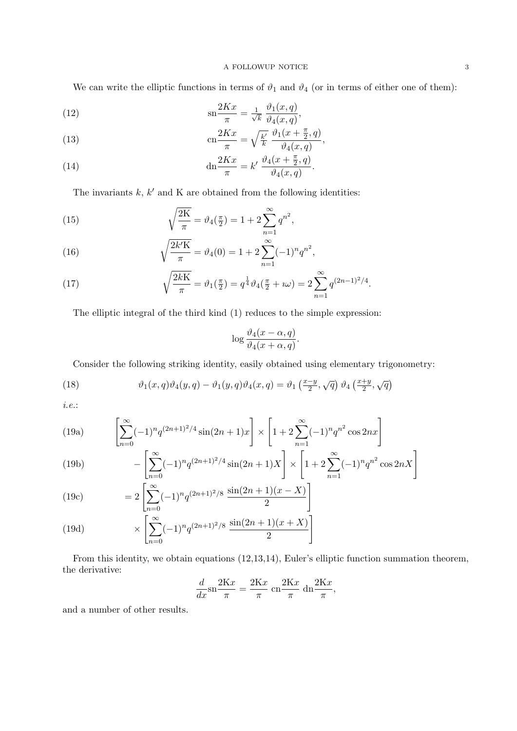## A FOLLOWUP NOTICE  $\hfill 3$

We can write the elliptic functions in terms of  $\vartheta_1$  and  $\vartheta_4$  (or in terms of either one of them):

(12) 
$$
\operatorname{sn} \frac{2Kx}{\pi} = \frac{1}{\sqrt{k}} \frac{\vartheta_1(x, q)}{\vartheta_4(x, q)},
$$

(13) 
$$
\operatorname{cn}\frac{2Kx}{\pi} = \sqrt{\frac{k'}{k}} \frac{\vartheta_1(x + \frac{\pi}{2}, q)}{\vartheta_4(x, q)},
$$

(14) 
$$
\mathrm{dn}\frac{2Kx}{\pi} = k'\,\frac{\vartheta_4(x+\frac{\pi}{2},q)}{\vartheta_4(x,q)}.
$$

The invariants  $k, k'$  and K are obtained from the following identities:

(15) 
$$
\sqrt{\frac{2K}{\pi}} = \vartheta_4(\tfrac{\pi}{2}) = 1 + 2 \sum_{n=1}^{\infty} q^{n^2},
$$

(16) 
$$
\sqrt{\frac{2k'K}{\pi}} = \vartheta_4(0) = 1 + 2\sum_{n=1}^{\infty} (-1)^n q^{n^2},
$$

(17) 
$$
\sqrt{\frac{2kK}{\pi}} = \vartheta_1(\tfrac{\pi}{2}) = q^{\frac{1}{4}} \vartheta_4(\tfrac{\pi}{2} + i\omega) = 2 \sum_{n=1}^{\infty} q^{(2n-1)^2/4}.
$$

The elliptic integral of the third kind (1) reduces to the simple expression:

$$
\log \frac{\vartheta_4(x-\alpha, q)}{\vartheta_4(x+\alpha, q)}.
$$

Consider the following striking identity, easily obtained using elementary trigonometry:

(18) 
$$
\vartheta_1(x,q)\vartheta_4(y,q) - \vartheta_1(y,q)\vartheta_4(x,q) = \vartheta_1\left(\frac{x-y}{2},\sqrt{q}\right)\vartheta_4\left(\frac{x+y}{2},\sqrt{q}\right)
$$

i.e.:

(19a) 
$$
\left[\sum_{n=0}^{\infty}(-1)^n q^{(2n+1)^2/4}\sin((2n+1)x)\right] \times \left[1+2\sum_{n=1}^{\infty}(-1)^n q^{n^2}\cos(2nx)\right]
$$

(19b) 
$$
- \left[ \sum_{n=0}^{\infty} (-1)^n q^{(2n+1)^2/4} \sin(2n+1)X \right] \times \left[ 1 + 2 \sum_{n=1}^{\infty} (-1)^n q^{n^2} \cos 2n X \right]
$$

(19c) 
$$
= 2 \left[ \sum_{n=0}^{\infty} (-1)^n q^{(2n+1)^2/8} \frac{\sin(2n+1)(x-X)}{2} \right]
$$

(19d) 
$$
\times \left[ \sum_{n=0}^{\infty} (-1)^n q^{(2n+1)^2/8} \frac{\sin(2n+1)(x+X)}{2} \right]
$$

From this identity, we obtain equations (12,13,14), Euler's elliptic function summation theorem, the derivative:

$$
\frac{d}{dx}\operatorname{sn}\frac{2Kx}{\pi} = \frac{2Kx}{\pi} \operatorname{cn}\frac{2Kx}{\pi} \operatorname{dn}\frac{2Kx}{\pi},
$$

and a number of other results.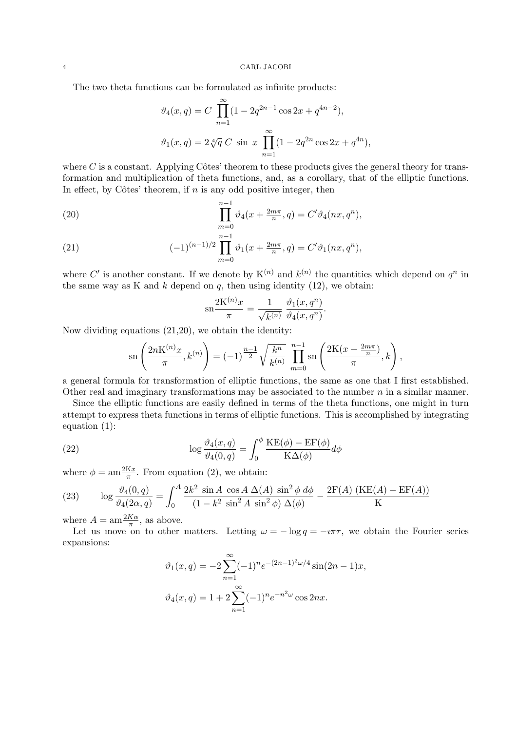#### 4 CARL JACOBI

The two theta functions can be formulated as infinite products:

$$
\vartheta_4(x, q) = C \prod_{n=1}^{\infty} (1 - 2q^{2n-1} \cos 2x + q^{4n-2}),
$$
  

$$
\vartheta_1(x, q) = 2 \sqrt[4]{q} C \sin x \prod_{n=1}^{\infty} (1 - 2q^{2n} \cos 2x + q^{4n}),
$$

where  $C$  is a constant. Applying Côtes' theorem to these products gives the general theory for transformation and multiplication of theta functions, and, as a corollary, that of the elliptic functions. In effect, by Côtes' theorem, if  $n$  is any odd positive integer, then

(20) 
$$
\prod_{m=0}^{n-1} \vartheta_4(x + \frac{2m\pi}{n}, q) = C' \vartheta_4(nx, q^n),
$$

(21) 
$$
(-1)^{(n-1)/2} \prod_{m=0}^{n-1} \vartheta_1(x + \frac{2m\pi}{n}, q) = C'\vartheta_1(nx, q^n),
$$

where C' is another constant. If we denote by  $K^{(n)}$  and  $k^{(n)}$  the quantities which depend on  $q^n$  in the same way as K and k depend on  $q$ , then using identity (12), we obtain:

$$
\operatorname{sn}\frac{2\mathbf{K}^{(n)}x}{\pi} = \frac{1}{\sqrt{k^{(n)}}} \frac{\vartheta_1(x, q^n)}{\vartheta_4(x, q^n)}.
$$

Now dividing equations (21,20), we obtain the identity:

$$
\operatorname{sn}\left(\frac{2n\mathcal{K}^{(n)}x}{\pi}, k^{(n)}\right) = (-1)^{\frac{n-1}{2}}\sqrt{\frac{k^n}{k^{(n)}}} \prod_{m=0}^{n-1} \operatorname{sn}\left(\frac{2\mathcal{K}(x + \frac{2m\pi}{n})}{\pi}, k\right),
$$

a general formula for transformation of elliptic functions, the same as one that I first established. Other real and imaginary transformations may be associated to the number  $n$  in a similar manner.

Since the elliptic functions are easily defined in terms of the theta functions, one might in turn attempt to express theta functions in terms of elliptic functions. This is accomplished by integrating equation (1):

(22) 
$$
\log \frac{\vartheta_4(x,q)}{\vartheta_4(0,q)} = \int_0^{\phi} \frac{\text{KE}(\phi) - \text{EF}(\phi)}{\text{K}\Delta(\phi)} d\phi
$$

where  $\phi = \text{am} \frac{2 \text{K} x}{\pi}$ . From equation (2), we obtain:

(23) 
$$
\log \frac{\vartheta_4(0,q)}{\vartheta_4(2\alpha,q)} = \int_0^A \frac{2k^2 \sin A \cos A \Delta(A) \sin^2 \phi \, d\phi}{(1 - k^2 \sin^2 A \sin^2 \phi) \Delta(\phi)} - \frac{2F(A) (KE(A) - EF(A))}{K}
$$

where  $A = \text{am}\frac{2K\alpha}{\pi}$ , as above.

Let us move on to other matters. Letting  $\omega = -\log q = -i\pi\tau$ , we obtain the Fourier series expansions:

$$
\vartheta_1(x,q) = -2 \sum_{n=1}^{\infty} (-1)^n e^{-(2n-1)^2 \omega/4} \sin(2n-1)x,
$$
  

$$
\vartheta_4(x,q) = 1 + 2 \sum_{n=1}^{\infty} (-1)^n e^{-n^2 \omega} \cos 2nx.
$$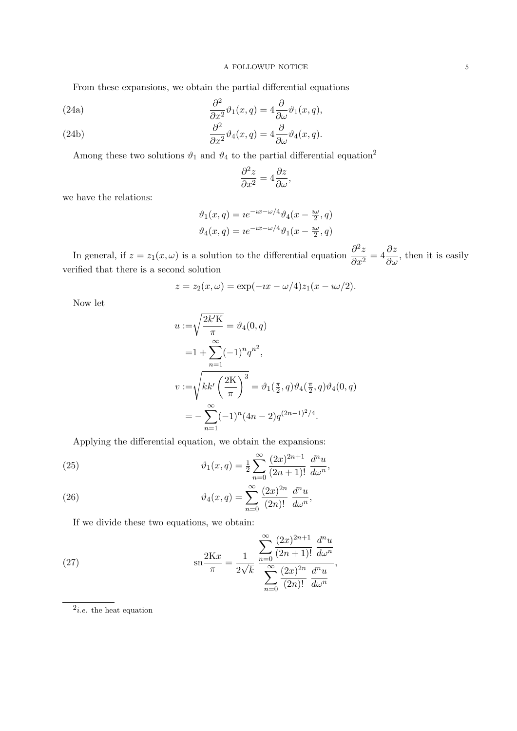From these expansions, we obtain the partial differential equations

(24a)  
\n
$$
\frac{\partial^2}{\partial x^2} \vartheta_1(x,q) = 4 \frac{\partial}{\partial \omega} \vartheta_1(x,q),
$$
\n
$$
\frac{\partial^2}{\partial x^2} \vartheta_1(x,q) = 4 \frac{\partial}{\partial \omega} \vartheta_1(x,q),
$$

(24b) 
$$
\frac{\partial^2}{\partial x^2} \vartheta_4(x,q) = 4 \frac{\partial}{\partial \omega} \vartheta_4(x,q).
$$

Among these two solutions  $\vartheta_1$  and  $\vartheta_4$  to the partial differential equation<sup>2</sup>

$$
\frac{\partial^2 z}{\partial x^2} = 4 \frac{\partial z}{\partial \omega},
$$

we have the relations:

$$
\vartheta_1(x,q) = i e^{-ix - \omega/4} \vartheta_4(x - \frac{i\omega}{2}, q)
$$

$$
\vartheta_4(x,q) = i e^{-ix - \omega/4} \vartheta_1(x - \frac{i\omega}{2}, q)
$$

In general, if  $z = z_1(x, \omega)$  is a solution to the differential equation  $\frac{\partial^2 z}{\partial x^2}$  $\frac{\partial^2 z}{\partial x^2} = 4 \frac{\partial z}{\partial \omega}$ , then it is easily verified that there is a second solution

$$
z = z_2(x, \omega) = \exp(-ix - \omega/4)z_1(x - i\omega/2).
$$

Now let

$$
u := \sqrt{\frac{2k'K}{\pi}} = \vartheta_4(0, q)
$$
  
=  $1 + \sum_{n=1}^{\infty} (-1)^n q^{n^2}$ ,  

$$
v := \sqrt{kk'\left(\frac{2K}{\pi}\right)^3} = \vartheta_1(\frac{\pi}{2}, q)\vartheta_4(\frac{\pi}{2}, q)\vartheta_4(0, q)
$$
  
=  $-\sum_{n=1}^{\infty} (-1)^n (4n - 2)q^{(2n-1)^2/4}$ .

Applying the differential equation, we obtain the expansions:

(25) 
$$
\vartheta_1(x,q) = \frac{1}{2} \sum_{n=0}^{\infty} \frac{(2x)^{2n+1}}{(2n+1)!} \frac{d^n u}{d\omega^n},
$$

(26) 
$$
\vartheta_4(x,q) = \sum_{n=0}^{\infty} \frac{(2x)^{2n}}{(2n)!} \frac{d^n u}{d\omega^n},
$$

If we divide these two equations, we obtain:

(27) 
$$
\operatorname{sn} \frac{2Kx}{\pi} = \frac{1}{2\sqrt{k}} \frac{\sum_{n=0}^{\infty} \frac{(2x)^{2n+1}}{(2n+1)!} \frac{d^n u}{d\omega^n}}{\sum_{n=0}^{\infty} \frac{(2x)^{2n}}{(2n)!} \frac{d^n u}{d\omega^n}},
$$

 $2$ *i.e.* the heat equation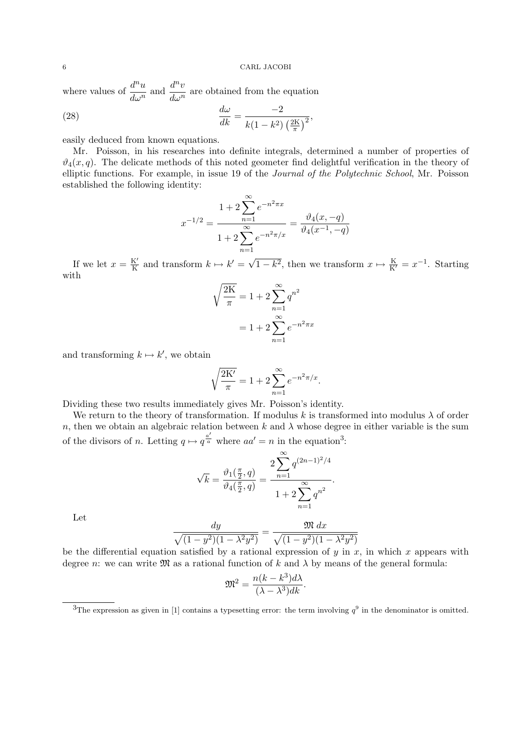where values of  $\frac{d^n u}{1 - n}$  $rac{d^n u}{d\omega^n}$  and  $rac{d^n v}{d\omega^n}$  $\frac{d^2v}{dx^n}$  are obtained from the equation

(28) 
$$
\frac{d\omega}{dk} = \frac{-2}{k(1-k^2)\left(\frac{2K}{\pi}\right)^2},
$$

easily deduced from known equations.

Mr. Poisson, in his researches into definite integrals, determined a number of properties of  $\vartheta_4(x, q)$ . The delicate methods of this noted geometer find delightful verification in the theory of elliptic functions. For example, in issue 19 of the Journal of the Polytechnic School, Mr. Poisson established the following identity:

$$
x^{-1/2} = \frac{1 + 2\sum_{n=1}^{\infty} e^{-n^2 \pi x}}{1 + 2\sum_{n=1}^{\infty} e^{-n^2 \pi x}} = \frac{\vartheta_4(x, -q)}{\vartheta_4(x^{-1}, -q)}
$$

If we let  $x = \frac{K'}{K}$  $\frac{K'}{K}$  and transform  $k \mapsto k' = \sqrt{2}$  $\overline{1-k^2}$ , then we transform  $x \mapsto \frac{K}{K'} = x^{-1}$ . Starting with

$$
\sqrt{\frac{2K}{\pi}} = 1 + 2 \sum_{n=1}^{\infty} q^{n^2}
$$

$$
= 1 + 2 \sum_{n=1}^{\infty} e^{-n^2 \pi x}
$$

and transforming  $k \mapsto k'$ , we obtain

$$
\sqrt{\frac{2K'}{\pi}} = 1 + 2\sum_{n=1}^{\infty} e^{-n^2\pi/x}.
$$

Dividing these two results immediately gives Mr. Poisson's identity.

We return to the theory of transformation. If modulus k is transformed into modulus  $\lambda$  of order n, then we obtain an algebraic relation between k and  $\lambda$  whose degree in either variable is the sum of the divisors of n. Letting  $q \mapsto q^{\frac{a'}{a}}$  where  $aa' = n$  in the equation<sup>3</sup>:

$$
\sqrt{k} = \frac{\vartheta_1(\frac{\pi}{2}, q)}{\vartheta_4(\frac{\pi}{2}, q)} = \frac{2 \sum_{n=1}^{\infty} q^{(2n-1)^2/4}}{1 + 2 \sum_{n=1}^{\infty} q^{n^2}}.
$$

Let

$$
\frac{dy}{\sqrt{(1-y^2)(1-\lambda^2y^2)}} = \frac{\mathfrak{M} dx}{\sqrt{(1-y^2)(1-\lambda^2y^2)}}
$$

be the differential equation satisfied by a rational expression of y in x, in which x appears with degree n: we can write  $\mathfrak{M}$  as a rational function of k and  $\lambda$  by means of the general formula:

$$
\mathfrak{M}^2 = \frac{n(k - k^3)d\lambda}{(\lambda - \lambda^3)dk}.
$$

<sup>&</sup>lt;sup>3</sup>The expression as given in [1] contains a typesetting error: the term involving  $q^9$  in the denominator is omitted.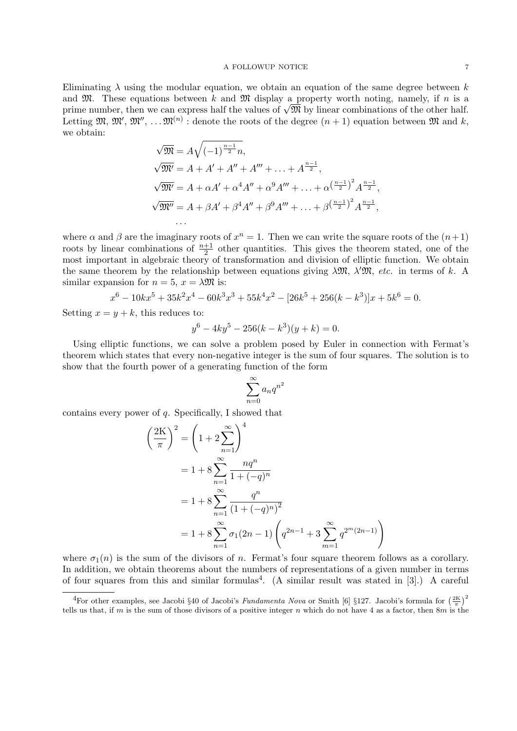#### A FOLLOWUP NOTICE  $7$

Eliminating  $\lambda$  using the modular equation, we obtain an equation of the same degree between k and  $\mathfrak{M}$ . These equations between k and  $\mathfrak{M}$  display a property worth noting, namely, if n is a and  $\mathcal{Y}$ . These equations between  $\kappa$  and  $\mathcal{Y}$  display a property worth noting, namely, if  $n$  is a prime number, then we can express half the values of  $\sqrt{\mathfrak{M}}$  by linear combinations of the other half. Letting  $\mathfrak{M}, \mathfrak{M}', \mathfrak{M}'', \ldots \mathfrak{M}^{(n)}$ : denote the roots of the degree  $(n+1)$  equation between  $\mathfrak{M}$  and k, we obtain:

$$
\sqrt{\mathfrak{M}} = A\sqrt{(-1)^{\frac{n-1}{2}}n},
$$
  
\n
$$
\sqrt{\mathfrak{M}'} = A + A' + A'' + A''' + \dots + A^{\frac{n-1}{2}},
$$
  
\n
$$
\sqrt{\mathfrak{M}'} = A + \alpha A' + \alpha^4 A'' + \alpha^9 A''' + \dots + \alpha^{\left(\frac{n-1}{2}\right)^2} A^{\frac{n-1}{2}},
$$
  
\n
$$
\sqrt{\mathfrak{M}''} = A + \beta A' + \beta^4 A'' + \beta^9 A''' + \dots + \beta^{\left(\frac{n-1}{2}\right)^2} A^{\frac{n-1}{2}},
$$
  
\n...

where  $\alpha$  and  $\beta$  are the imaginary roots of  $x^n = 1$ . Then we can write the square roots of the  $(n+1)$ roots by linear combinations of  $\frac{n+1}{2}$  other quantities. This gives the theorem stated, one of the most important in algebraic theory of transformation and division of elliptic function. We obtain the same theorem by the relationship between equations giving  $\lambda \mathfrak{M}$ ,  $\lambda' \mathfrak{M}$ , etc. in terms of k. A similar expansion for  $n = 5$ ,  $x = \lambda \mathfrak{M}$  is:

$$
x^{6} - 10kx^{5} + 35k^{2}x^{4} - 60k^{3}x^{3} + 55k^{4}x^{2} - [26k^{5} + 256(k - k^{3})]x + 5k^{6} = 0.
$$

Setting  $x = y + k$ , this reduces to:

$$
y^6 - 4ky^5 - 256(k - k^3)(y + k) = 0.
$$

Using elliptic functions, we can solve a problem posed by Euler in connection with Fermat's theorem which states that every non-negative integer is the sum of four squares. The solution is to show that the fourth power of a generating function of the form

$$
\sum_{n=0}^{\infty} a_n q^{n^2}
$$

contains every power of q. Specifically, I showed that

$$
\left(\frac{2K}{\pi}\right)^2 = \left(1 + 2\sum_{n=1}^{\infty}\right)^4
$$
  
=  $1 + 8\sum_{n=1}^{\infty}\frac{nq^n}{1 + (-q)^n}$   
=  $1 + 8\sum_{n=1}^{\infty}\frac{q^n}{(1 + (-q)^n)^2}$   
=  $1 + 8\sum_{n=1}^{\infty}\sigma_1(2n - 1)\left(q^{2n-1} + 3\sum_{m=1}^{\infty}q^{2m}(2n-1)\right)$ 

where  $\sigma_1(n)$  is the sum of the divisors of n. Fermat's four square theorem follows as a corollary. In addition, we obtain theorems about the numbers of representations of a given number in terms of four squares from this and similar formulas<sup>4</sup>. (A similar result was stated in [3].) A careful

<sup>&</sup>lt;sup>4</sup>For other examples, see Jacobi §40 of Jacobi's *Fundamenta Nova* or Smith [6] §127. Jacobi's formula for  $(\frac{2K}{\pi})^2$ tells us that, if m is the sum of those divisors of a positive integer n which do not have 4 as a factor, then  $8m$  is the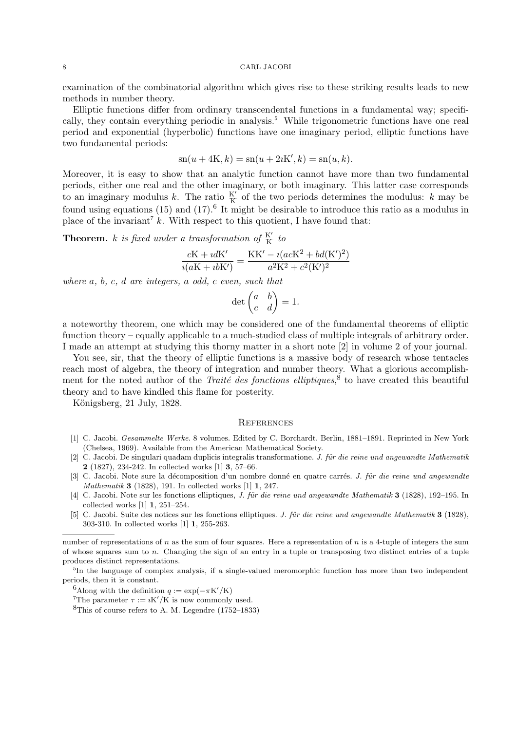#### 8 CARL JACOBI

examination of the combinatorial algorithm which gives rise to these striking results leads to new methods in number theory.

Elliptic functions differ from ordinary transcendental functions in a fundamental way; specifically, they contain everything periodic in analysis.<sup>5</sup> While trigonometric functions have one real period and exponential (hyperbolic) functions have one imaginary period, elliptic functions have two fundamental periods:

$$
sn(u + 4K, k) = sn(u + 2iK', k) = sn(u, k).
$$

Moreover, it is easy to show that an analytic function cannot have more than two fundamental periods, either one real and the other imaginary, or both imaginary. This latter case corresponds to an imaginary modulus k. The ratio  $\frac{K'}{K}$  of the two periods determines the modulus: k may be found using equations  $(15)$  and  $(17)$ .<sup>6</sup> It might be desirable to introduce this ratio as a modulus in place of the invariant<sup>7</sup> k. With respect to this quotient, I have found that:

**Theorem.** k is fixed under a transformation of  $\frac{K'}{K}$  to

$$
\frac{cK + idK'}{i(aK + ibK')} = \frac{KK' - i(acK^2 + bd(K')^2)}{a^2K^2 + c^2(K')^2}
$$

where a, b, c, d are integers, a odd, c even, such that

$$
\det \begin{pmatrix} a & b \\ c & d \end{pmatrix} = 1.
$$

a noteworthy theorem, one which may be considered one of the fundamental theorems of elliptic function theory – equally applicable to a much-studied class of multiple integrals of arbitrary order. I made an attempt at studying this thorny matter in a short note [2] in volume 2 of your journal.

You see, sir, that the theory of elliptic functions is a massive body of research whose tentacles reach most of algebra, the theory of integration and number theory. What a glorious accomplishment for the noted author of the Traité des fonctions elliptiques,<sup>8</sup> to have created this beautiful theory and to have kindled this flame for posterity.

Königsberg, 21 July, 1828.

## **REFERENCES**

- [1] C. Jacobi. Gesammelte Werke. 8 volumes. Edited by C. Borchardt. Berlin, 1881–1891. Reprinted in New York (Chelsea, 1969). Available from the American Mathematical Society.
- $[2]$  C. Jacobi. De singulari quadam duplicis integralis transformatione. J. für die reine und angewandte Mathematik 2 (1827), 234-242. In collected works [1] 3, 57–66.
- [3] C. Jacobi. Note sure la décomposition d'un nombre donné en quatre carrés. J. für die reine und angewandte *Mathematik* **3** (1828), 191. In collected works [1] **1**, 247.
- [4] C. Jacobi. Note sur les fonctions elliptiques, *J. für die reine und angewandte Mathematik* 3 (1828), 192–195. In collected works [1] 1, 251–254.
- [5] C. Jacobi. Suite des notices sur les fonctions elliptiques. J. für die reine und angewandte Mathematik 3 (1828), 303-310. In collected works [1] 1, 255-263.

<sup>6</sup>Along with the definition  $q := \exp(-\pi K'/K)$ 

<sup>7</sup>The parameter  $\tau := iK'/K$  is now commonly used.

number of representations of  $n$  as the sum of four squares. Here a representation of  $n$  is a 4-tuple of integers the sum of whose squares sum to  $n$ . Changing the sign of an entry in a tuple or transposing two distinct entries of a tuple produces distinct representations.

<sup>&</sup>lt;sup>5</sup>In the language of complex analysis, if a single-valued meromorphic function has more than two independent periods, then it is constant.

 ${}^{8}$ This of course refers to A. M. Legendre (1752–1833)